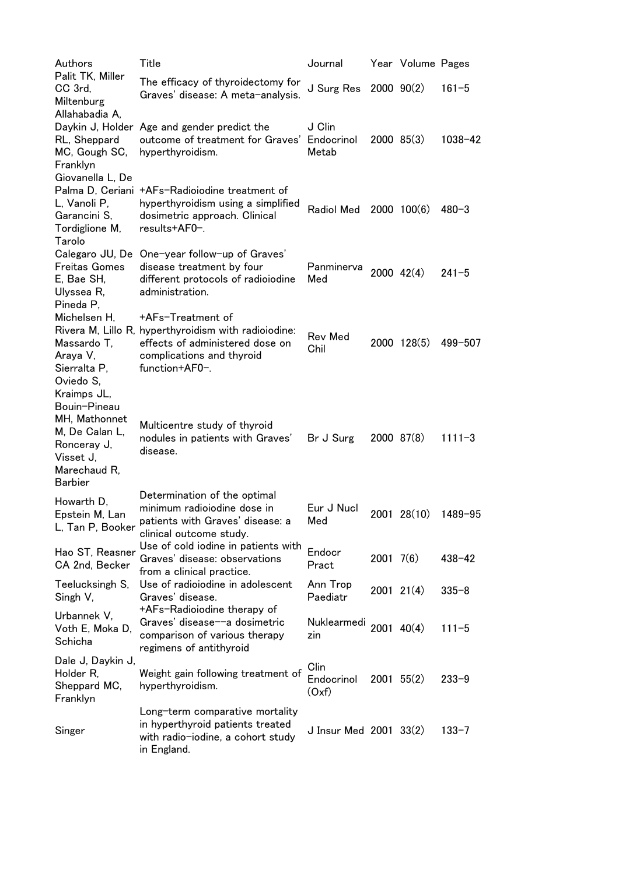| Authors                                                                                                                      | Title                                                                                                                                                       | Journal                     |                | Year Volume Pages |             |
|------------------------------------------------------------------------------------------------------------------------------|-------------------------------------------------------------------------------------------------------------------------------------------------------------|-----------------------------|----------------|-------------------|-------------|
| Palit TK, Miller<br>CC 3rd,<br>Miltenburg<br>Allahabadia A,                                                                  | The efficacy of thyroidectomy for<br>Graves' disease: A meta-analysis.                                                                                      | J Surg Res                  |                | $2000 \ 90(2)$    | $161 - 5$   |
| RL, Sheppard<br>MC, Gough SC,<br>Franklyn                                                                                    | Daykin J, Holder Age and gender predict the<br>outcome of treatment for Graves' Endocrinol<br>hyperthyroidism.                                              | J Clin<br>Metab             |                | $2000$ $85(3)$    | $1038 - 42$ |
| Giovanella L, De<br>L, Vanoli P,<br>Garancini S,<br>Tordiglione M,<br>Tarolo                                                 | Palma D, Ceriani +AFs-Radioiodine treatment of<br>hyperthyroidism using a simplified<br>dosimetric approach. Clinical<br>results+AF0-.                      | Radiol Med                  |                | $2000$ $100(6)$   | $480 - 3$   |
| <b>Freitas Gomes</b><br>E, Bae SH,<br>Ulyssea R,<br>Pineda P,                                                                | Calegaro JU, De One-year follow-up of Graves'<br>disease treatment by four<br>different protocols of radioiodine<br>administration.                         | Panminerva<br>Med           |                | 2000 42(4)        | $241 - 5$   |
| Michelsen H,<br>Massardo T,<br>Araya V,<br>Sierralta P,<br>Oviedo S,                                                         | +AFs-Treatment of<br>Rivera M, Lillo R, hyperthyroidism with radioiodine:<br>effects of administered dose on<br>complications and thyroid<br>function+AF0-. | Rev Med<br>Chil             |                | 2000 128(5)       | 499-507     |
| Kraimps JL,<br>Bouin-Pineau<br>MH, Mathonnet<br>M, De Calan L,<br>Ronceray J,<br>Visset J,<br>Marechaud R,<br><b>Barbier</b> | Multicentre study of thyroid<br>nodules in patients with Graves'<br>disease.                                                                                | Br J Surg                   |                | 2000 87(8)        | $1111 - 3$  |
| Howarth D,<br>Epstein M, Lan<br>L, Tan P, Booker                                                                             | Determination of the optimal<br>minimum radioiodine dose in<br>patients with Graves' disease: a<br>clinical outcome study.                                  | Eur J Nucl<br>Med           |                | 2001 28(10)       | 1489-95     |
| Hao ST, Reasner<br>CA 2nd, Becker                                                                                            | Use of cold iodine in patients with<br>Graves' disease: observations<br>from a clinical practice.                                                           | Endocr<br>Pract             | $2001$ 7(6)    |                   | $438 - 42$  |
| Teelucksingh S,<br>Singh V,                                                                                                  | Use of radioiodine in adolescent<br>Graves' disease.                                                                                                        | Ann Trop<br>Paediatr        |                | $2001$ $21(4)$    | $335 - 8$   |
| Urbannek V,<br>Voth E, Moka D,<br>Schicha                                                                                    | +AFs-Radioiodine therapy of<br>Graves' disease--a dosimetric<br>comparison of various therapy<br>regimens of antithyroid                                    | Nuklearmedi<br>zin          | $2001$ $40(4)$ |                   | $111 - 5$   |
| Dale J, Daykin J,<br>Holder R,<br>Sheppard MC,<br>Franklyn                                                                   | Weight gain following treatment of<br>hyperthyroidism.                                                                                                      | Clin<br>Endocrinol<br>(Oxf) |                | $2001$ 55(2)      | $233 - 9$   |
| Singer                                                                                                                       | Long-term comparative mortality<br>in hyperthyroid patients treated<br>with radio-iodine, a cohort study<br>in England.                                     | J Insur Med 2001 33(2)      |                |                   | $133 - 7$   |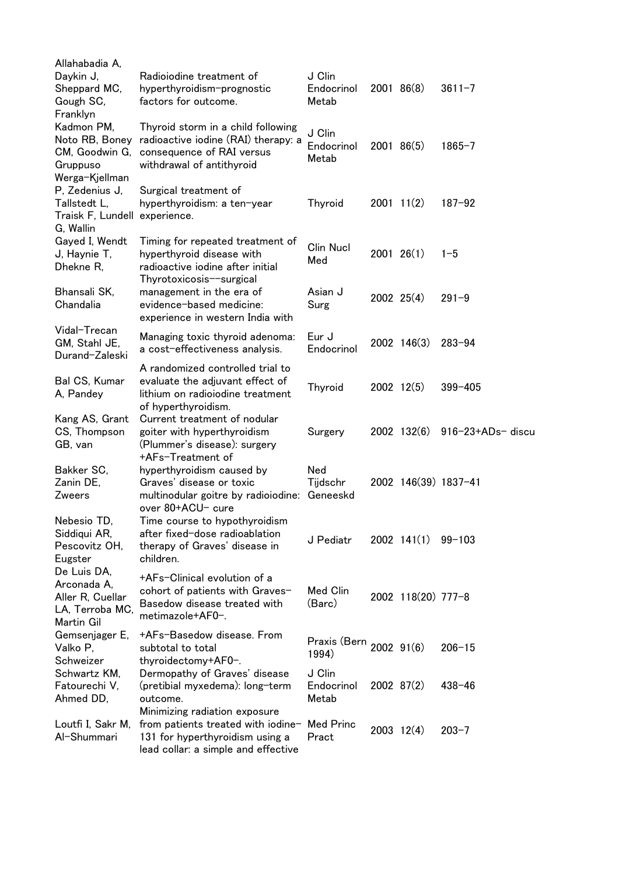| Allahabadia A,<br>Daykin J,<br>Sheppard MC,<br>Gough SC,<br>Franklyn            | Radioiodine treatment of<br>hyperthyroidism-prognostic<br>factors for outcome.                                                                | J Clin<br>Endocrinol<br>Metab    | 2001 86(8)          | $3611 - 7$               |
|---------------------------------------------------------------------------------|-----------------------------------------------------------------------------------------------------------------------------------------------|----------------------------------|---------------------|--------------------------|
| Kadmon PM,<br>Noto RB, Boney<br>CM, Goodwin G,<br>Gruppuso<br>Werga-Kjellman    | Thyroid storm in a child following<br>radioactive iodine (RAI) therapy: a<br>consequence of RAI versus<br>withdrawal of antithyroid           | J Clin<br>Endocrinol<br>Metab    | 2001 86(5)          | $1865 - 7$               |
| P, Zedenius J,<br>Tallstedt L,<br>Traisk F, Lundell experience.<br>G, Wallin    | Surgical treatment of<br>hyperthyroidism: a ten-year                                                                                          | Thyroid                          | $2001$ 11(2)        | $187 - 92$               |
| Gayed I, Wendt<br>J, Haynie T,<br>Dhekne R,                                     | Timing for repeated treatment of<br>hyperthyroid disease with<br>radioactive iodine after initial<br>Thyrotoxicosis-surgical                  | Clin Nucl<br>Med                 | $2001$ $26(1)$      | $1 - 5$                  |
| Bhansali SK,<br>Chandalia                                                       | management in the era of<br>evidence-based medicine:<br>experience in western India with                                                      | Asian J<br>Surg                  | $2002$ $25(4)$      | $291 - 9$                |
| Vidal-Trecan<br>GM, Stahl JE,<br>Durand-Zaleski                                 | Managing toxic thyroid adenoma:<br>a cost-effectiveness analysis.                                                                             | Eur J<br>Endocrinol              | 2002 146(3)         | $283 - 94$               |
| Bal CS, Kumar<br>A, Pandey                                                      | A randomized controlled trial to<br>evaluate the adjuvant effect of<br>lithium on radioiodine treatment<br>of hyperthyroidism.                | Thyroid                          | 2002 12(5)          | $399 - 405$              |
| Kang AS, Grant<br>CS, Thompson<br>GB, van                                       | Current treatment of nodular<br>goiter with hyperthyroidism<br>(Plummer's disease): surgery<br>+AFs-Treatment of                              | Surgery                          | 2002 132(6)         | $916 - 23 + ADs -$ discu |
| Bakker SC,<br>Zanin DE,<br>Zweers                                               | hyperthyroidism caused by<br>Graves' disease or toxic<br>multinodular goitre by radioiodine: Geneeskd<br>over 80+ACU- cure                    | Ned<br>Tijdschr                  |                     | 2002 146(39) 1837-41     |
| Nebesio TD,<br>Siddiqui AR,<br>Pescovitz OH,<br>Eugster                         | Time course to hypothyroidism<br>after fixed-dose radioablation<br>therapy of Graves' disease in<br>children.                                 | J Pediatr                        | $2002 \quad 141(1)$ | $99 - 103$               |
| De Luis DA,<br>Arconada A,<br>Aller R, Cuellar<br>LA, Terroba MC,<br>Martin Gil | +AFs-Clinical evolution of a<br>cohort of patients with Graves-<br>Basedow disease treated with<br>metimazole+AF0-.                           | Med Clin<br>(Barc)               | 2002 118(20) 777-8  |                          |
| Gemsenjager E,<br>Valko P,<br>Schweizer                                         | +AFs-Basedow disease. From<br>subtotal to total<br>thyroidectomy+AF0-.                                                                        | Praxis (Bern 2002 91(6)<br>1994) |                     | $206 - 15$               |
| Schwartz KM,<br>Fatourechi V,<br>Ahmed DD,                                      | Dermopathy of Graves' disease<br>(pretibial myxedema): long-term<br>outcome.                                                                  | J Clin<br>Endocrinol<br>Metab    | $2002$ 87(2)        | $438 - 46$               |
| Loutfi I, Sakr M,<br>Al-Shummari                                                | Minimizing radiation exposure<br>from patients treated with iodine-<br>131 for hyperthyroidism using a<br>lead collar: a simple and effective | <b>Med Princ</b><br>Pract        | $2003 \quad 12(4)$  | $203 - 7$                |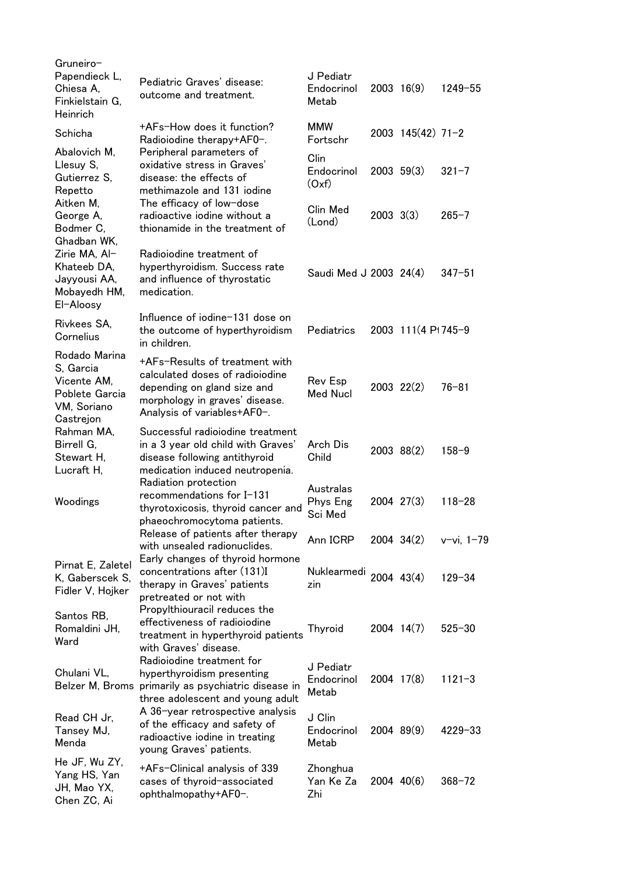| Gruneiro-<br>Papendieck L,<br>Chiesa A,<br>Finkielstain G,<br>Heinrich                  | Pediatric Graves' disease:<br>outcome and treatment.                                                                                                              | J Pediatr<br>Endocrinol<br>Metab |               | $2003 \quad 16(9)$  | $1249 - 55$   |
|-----------------------------------------------------------------------------------------|-------------------------------------------------------------------------------------------------------------------------------------------------------------------|----------------------------------|---------------|---------------------|---------------|
| Schicha                                                                                 | +AFs-How does it function?<br>Radioiodine therapy+AF0-.                                                                                                           | <b>MMW</b><br>Fortschr           |               | $2003$ 145(42) 71-2 |               |
| Abalovich M,<br>Llesuy S,<br>Gutierrez S,<br>Repetto                                    | Peripheral parameters of<br>oxidative stress in Graves'<br>disease: the effects of<br>methimazole and 131 iodine                                                  | Clin<br>Endocrinol<br>(Oxf)      |               | $2003$ 59(3)        | $321 - 7$     |
| Aitken M,<br>George A,<br>Bodmer C,<br>Ghadban WK,                                      | The efficacy of low-dose<br>radioactive iodine without a<br>thionamide in the treatment of                                                                        | Clin Med<br>(Lond)               | $2003 \t3(3)$ |                     | $265 - 7$     |
| Zirie MA, Al-<br>Khateeb DA,<br>Jayyousi AA,<br>Mobayedh HM,<br>El-Aloosy               | Radioiodine treatment of<br>hyperthyroidism. Success rate<br>and influence of thyrostatic<br>medication.                                                          | Saudi Med J 2003 24(4)           |               |                     | $347 - 51$    |
| Rivkees SA.<br>Cornelius                                                                | Influence of iodine-131 dose on<br>the outcome of hyperthyroidism<br>in children.                                                                                 | Pediatrics                       |               | 2003 111(4 Pt 745-9 |               |
| Rodado Marina<br>S, Garcia<br>Vicente AM,<br>Poblete Garcia<br>VM, Soriano<br>Castrejon | +AFs-Results of treatment with<br>calculated doses of radioiodine<br>depending on gland size and<br>morphology in graves' disease.<br>Analysis of variables+AF0-. | Rev Esp<br>Med Nucl              |               | $2003$ $22(2)$      | $76 - 81$     |
| Rahman MA,<br>Birrell G,<br>Stewart H,<br>Lucraft H,                                    | Successful radioiodine treatment<br>in a 3 year old child with Graves'<br>disease following antithyroid<br>medication induced neutropenia.                        | Arch Dis<br>Child                |               | 2003 88(2)          | $158 - 9$     |
| Woodings                                                                                | Radiation protection<br>recommendations for I-131<br>thyrotoxicosis, thyroid cancer and<br>phaeochromocytoma patients.                                            | Australas<br>Phys Eng<br>Sci Med |               | 2004 27(3)          | $118 - 28$    |
|                                                                                         | Release of patients after therapy<br>with unsealed radionuclides.<br>Early changes of thyroid hormone                                                             | Ann ICRP                         |               | $2004$ $34(2)$      | $v$ -vi, 1-79 |
| Pirnat E, Zaletel<br>K, Gaberscek S,<br>Fidler V, Hojker                                | concentrations after (131)I<br>therapy in Graves' patients<br>pretreated or not with                                                                              | Nuklearmedi<br>zin               |               | $2004$ $43(4)$      | $129 - 34$    |
| Santos RB,<br>Romaldini JH,<br>Ward                                                     | Propylthiouracil reduces the<br>effectiveness of radioiodine<br>treatment in hyperthyroid patients<br>with Graves' disease.                                       | <b>Thyroid</b>                   |               | 2004 14(7)          | $525 - 30$    |
| Chulani VL,                                                                             | Radioiodine treatment for<br>hyperthyroidism presenting<br>Belzer M, Broms primarily as psychiatric disease in<br>three adolescent and young adult                | J Pediatr<br>Endocrinol<br>Metab |               | 2004 17(8)          | $1121 - 3$    |
| Read CH Jr,<br>Tansey MJ,<br>Menda                                                      | A 36-year retrospective analysis<br>of the efficacy and safety of<br>radioactive iodine in treating<br>young Graves' patients.                                    | J Clin<br>Endocrinol<br>Metab    |               | 2004 89(9)          | $4229 - 33$   |
| He JF, Wu ZY,<br>Yang HS, Yan<br>JH, Mao YX,<br>Chen ZC, Ai                             | +AFs-Clinical analysis of 339<br>cases of thyroid-associated<br>ophthalmopathy+AF0-.                                                                              | Zhonghua<br>Yan Ke Za<br>Zhi     |               | $2004$ $40(6)$      | $368 - 72$    |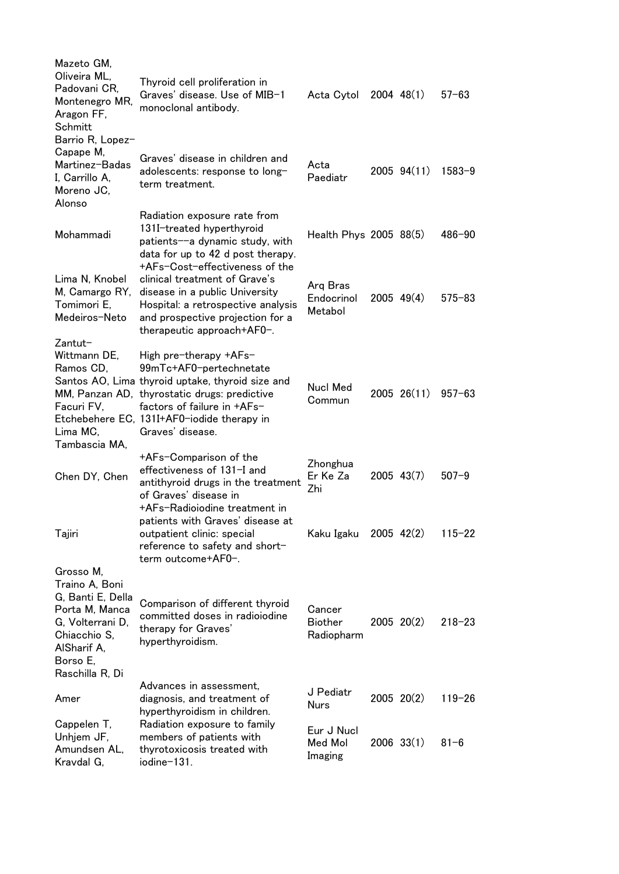| Mazeto GM,<br>Oliveira ML,<br>Padovani CR.<br>Montenegro MR,<br>Aragon FF,<br>Schmitt                                                                | Thyroid cell proliferation in<br>Graves' disease. Use of MIB-1<br>monoclonal antibody.                                                                                                                                                                   | Acta Cytol 2004 48(1)                  |                | $57 - 63$  |
|------------------------------------------------------------------------------------------------------------------------------------------------------|----------------------------------------------------------------------------------------------------------------------------------------------------------------------------------------------------------------------------------------------------------|----------------------------------------|----------------|------------|
| Barrio R, Lopez-<br>Capape M,<br>Martinez-Badas<br>I, Carrillo A,<br>Moreno JC,<br>Alonso                                                            | Graves' disease in children and<br>adolescents: response to long-<br>term treatment.                                                                                                                                                                     | Acta<br>Paediatr                       | 2005 94(11)    | $1583 - 9$ |
| Mohammadi                                                                                                                                            | Radiation exposure rate from<br>131I-treated hyperthyroid<br>patients--a dynamic study, with<br>data for up to 42 d post therapy.<br>+AFs-Cost-effectiveness of the                                                                                      | Health Phys 2005 88(5)                 |                | $486 - 90$ |
| Lima N, Knobel<br>M, Camargo RY,<br>Tomimori E.<br>Medeiros-Neto                                                                                     | clinical treatment of Grave's<br>disease in a public University<br>Hospital: a retrospective analysis<br>and prospective projection for a<br>therapeutic approach+AF0-.                                                                                  | Arg Bras<br>Endocrinol<br>Metabol      | $2005$ 49(4)   | $575 - 83$ |
| Zantut-<br>Wittmann DE,<br>Ramos CD,<br>Facuri FV,<br>Lima MC,<br>Tambascia MA,                                                                      | High pre-therapy +AFs-<br>99mTc+AF0-pertechnetate<br>Santos AO, Lima thyroid uptake, thyroid size and<br>MM, Panzan AD, thyrostatic drugs: predictive<br>factors of failure in $+AFs-$<br>Etchebehere EC, 131I+AF0-iodide therapy in<br>Graves' disease. | <b>Nucl Med</b><br>Commun              | 2005 26(11)    | $957 - 63$ |
| Chen DY, Chen                                                                                                                                        | +AFs-Comparison of the<br>effectiveness of 131-I and<br>antithyroid drugs in the treatment<br>of Graves' disease in                                                                                                                                      | Zhonghua<br>Er Ke Za<br>Zhi            | $2005$ 43(7)   | $507 - 9$  |
| Tajiri                                                                                                                                               | +AFs-Radioiodine treatment in<br>patients with Graves' disease at<br>outpatient clinic: special<br>reference to safety and short-<br>term outcome+AF0-.                                                                                                  | Kaku Igaku                             | $2005$ 42(2)   | $115 - 22$ |
| Grosso M,<br>Traino A, Boni<br>G, Banti E, Della<br>Porta M, Manca<br>G, Volterrani D,<br>Chiacchio S,<br>AlSharif A,<br>Borso E,<br>Raschilla R, Di | Comparison of different thyroid<br>committed doses in radioiodine<br>therapy for Graves'<br>hyperthyroidism.                                                                                                                                             | Cancer<br><b>Biother</b><br>Radiopharm | $2005$ $20(2)$ | $218 - 23$ |
| Amer                                                                                                                                                 | Advances in assessment,<br>diagnosis, and treatment of<br>hyperthyroidism in children.                                                                                                                                                                   | J Pediatr<br><b>Nurs</b>               | $2005$ $20(2)$ | $119 - 26$ |
| Cappelen T,<br>Unhjem JF,<br>Amundsen AL,<br>Kravdal G,                                                                                              | Radiation exposure to family<br>members of patients with<br>thyrotoxicosis treated with<br>iodine-131.                                                                                                                                                   | Eur J Nucl<br>Med Mol<br>Imaging       | $2006$ 33(1)   | $81 - 6$   |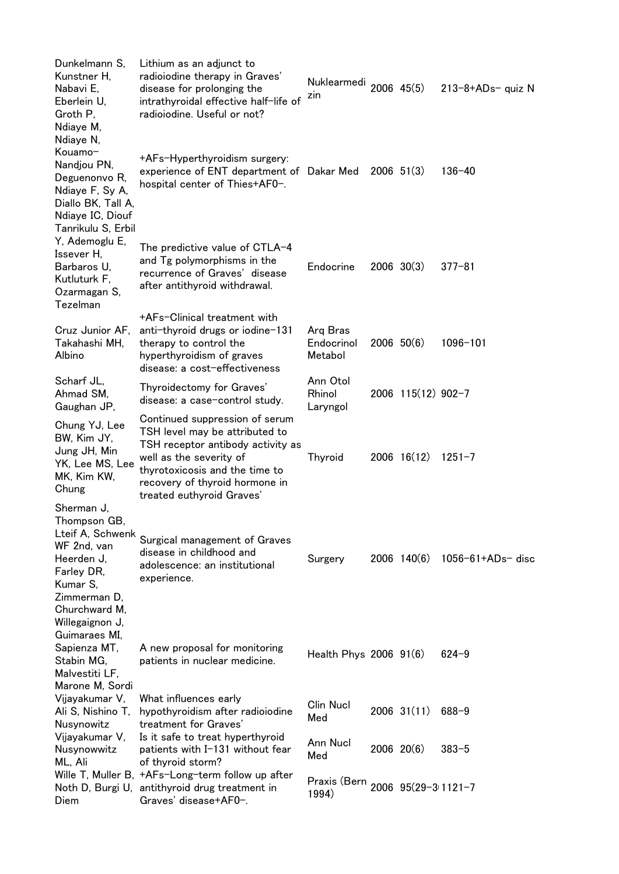| Dunkelmann S,<br>Kunstner H,<br>Nabavi E,<br>Eberlein U,<br>Groth P,<br>Ndiaye M,<br>Ndiaye N,                                       | Lithium as an adjunct to<br>radioiodine therapy in Graves'<br>disease for prolonging the<br>intrathyroidal effective half-life of<br>radioiodine. Useful or not?                                                                  | Nuklearmedi 2006 45(5)<br>zin             |              |                    | $213 - 8 + ADs - quiz$ N |
|--------------------------------------------------------------------------------------------------------------------------------------|-----------------------------------------------------------------------------------------------------------------------------------------------------------------------------------------------------------------------------------|-------------------------------------------|--------------|--------------------|--------------------------|
| Kouamo-<br>Nandjou PN,<br>Deguenonvo R,<br>Ndiaye F, Sy A,<br>Diallo BK, Tall A,<br>Ndiaye IC, Diouf<br>Tanrikulu S, Erbil           | +AFs-Hyperthyroidism surgery:<br>experience of ENT department of Dakar Med<br>hospital center of Thies+AF0-.                                                                                                                      |                                           | $2006$ 51(3) |                    | $136 - 40$               |
| Y, Ademoglu E,<br>Issever H,<br>Barbaros U,<br>Kutluturk F,<br>Ozarmagan S,<br>Tezelman                                              | The predictive value of CTLA-4<br>and Tg polymorphisms in the<br>recurrence of Graves' disease<br>after antithyroid withdrawal.                                                                                                   | Endocrine                                 |              | $2006 \t30(3)$     | $377 - 81$               |
| Cruz Junior AF,<br>Takahashi MH,<br>Albino                                                                                           | +AFs-Clinical treatment with<br>anti-thyroid drugs or iodine-131<br>therapy to control the<br>hyperthyroidism of graves<br>disease: a cost-effectiveness                                                                          | Arq Bras<br>Endocrinol<br>Metabol         |              | $2006$ $50(6)$     | $1096 - 101$             |
| Scharf JL,<br>Ahmad SM,<br>Gaughan JP,                                                                                               | Thyroidectomy for Graves'<br>disease: a case-control study.                                                                                                                                                                       | Ann Otol<br>Rhinol<br>Laryngol            |              | 2006 115(12) 902-7 |                          |
| Chung YJ, Lee<br>BW, Kim JY,<br>Jung JH, Min<br>YK, Lee MS, Lee<br>MK, Kim KW,<br>Chung                                              | Continued suppression of serum<br>TSH level may be attributed to<br>TSH receptor antibody activity as<br>well as the severity of<br>thyrotoxicosis and the time to<br>recovery of thyroid hormone in<br>treated euthyroid Graves' | Thyroid                                   |              | $2006$ 16(12)      | $1251 - 7$               |
| Sherman J,<br>Thompson GB,<br>Lteif A, Schwenk<br>WF 2nd, van<br>Heerden J,<br>Farley DR,<br>Kumar S,                                | Surgical management of Graves<br>disease in childhood and<br>adolescence: an institutional<br>experience.                                                                                                                         | Surgery                                   |              | $2006$ 140(6)      | 1056-61+ADs- disc        |
| Zimmerman D,<br>Churchward M,<br>Willegaignon J,<br>Guimaraes MI,<br>Sapienza MT,<br>Stabin MG,<br>Malvestiti LF,<br>Marone M, Sordi | A new proposal for monitoring<br>patients in nuclear medicine.                                                                                                                                                                    | Health Phys 2006 91(6)                    |              |                    | $624 - 9$                |
| Vijayakumar V,<br>Ali S, Nishino T,<br>Nusynowitz                                                                                    | What influences early<br>hypothyroidism after radioiodine<br>treatment for Graves'                                                                                                                                                | Clin Nucl<br>Med                          |              | $2006$ 31(11)      | $688 - 9$                |
| Vijayakumar V,<br>Nusynowwitz<br>ML, Ali                                                                                             | Is it safe to treat hyperthyroid<br>patients with I-131 without fear<br>of thyroid storm?                                                                                                                                         | Ann Nucl<br>Med                           |              | $2006$ $20(6)$     | $383 - 5$                |
| Diem                                                                                                                                 | Wille T, Muller B, +AFs-Long-term follow up after<br>Noth D, Burgi U, antithyroid drug treatment in<br>Graves' disease+AF0-.                                                                                                      | Praxis (Bern 2006 95(29-3 1121-7<br>1994) |              |                    |                          |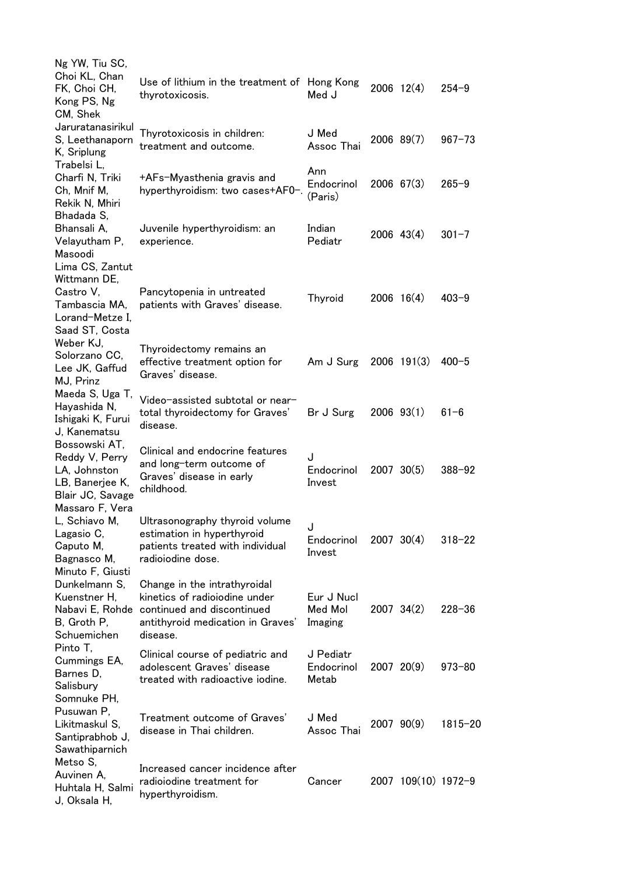| Ng YW, Tiu SC,<br>Choi KL, Chan<br>FK, Choi CH,<br>Kong PS, Ng<br>CM, Shek                                | Use of lithium in the treatment of Hong Kong<br>thyrotoxicosis.                                                                              | Med J                            | $2006$ 12(4)        | $254 - 9$   |
|-----------------------------------------------------------------------------------------------------------|----------------------------------------------------------------------------------------------------------------------------------------------|----------------------------------|---------------------|-------------|
| Jaruratanasirikul<br>S, Leethanaporn<br>K, Sriplung                                                       | Thyrotoxicosis in children:<br>treatment and outcome.                                                                                        | J Med<br>Assoc Thai              | $2006$ 89 $(7)$     | $967 - 73$  |
| Trabelsi L,<br>Charfi N, Triki<br>Ch, Mnif M,<br>Rekik N, Mhiri                                           | +AFs-Myasthenia gravis and<br>hyperthyroidism: two cases+AF0-.                                                                               | Ann<br>Endocrinol<br>(Paris)     | $2006$ 67(3)        | $265 - 9$   |
| Bhadada S,<br>Bhansali A,<br>Velayutham P,<br>Masoodi                                                     | Juvenile hyperthyroidism: an<br>experience.                                                                                                  | Indian<br>Pediatr                | $2006$ 43(4)        | $301 - 7$   |
| Lima CS, Zantut<br>Wittmann DE,<br>Castro V,<br>Tambascia MA,<br>Lorand-Metze I,<br>Saad ST, Costa        | Pancytopenia in untreated<br>patients with Graves' disease.                                                                                  | Thyroid                          | $2006 \quad 16(4)$  | $403 - 9$   |
| Weber KJ,<br>Solorzano CC,<br>Lee JK, Gaffud<br>MJ, Prinz                                                 | Thyroidectomy remains an<br>effective treatment option for<br>Graves' disease.                                                               | Am J Surg                        | $2006$ 191(3)       | $400 - 5$   |
| Maeda S, Uga T,<br>Hayashida N,<br>Ishigaki K, Furui<br>J, Kanematsu                                      | Video-assisted subtotal or near-<br>total thyroidectomy for Graves'<br>disease.                                                              | Br J Surg                        | $2006$ $93(1)$      | $61 - 6$    |
| Bossowski AT,<br>Reddy V, Perry<br>LA, Johnston<br>LB, Banerjee K,<br>Blair JC, Savage<br>Massaro F, Vera | Clinical and endocrine features<br>and long-term outcome of<br>Graves' disease in early<br>childhood.                                        | J<br>Endocrinol<br>Invest        | 2007 30(5)          | $388 - 92$  |
| L, Schiavo M,<br>Lagasio C,<br>Caputo M,<br>Bagnasco M,<br>Minuto F, Giusti                               | Ultrasonography thyroid volume<br>estimation in hyperthyroid<br>patients treated with individual<br>radioiodine dose.                        | J<br>Endocrinol<br>Invest        | $2007 \ 30(4)$      | $318 - 22$  |
| Dunkelmann S,<br>Kuenstner H,<br>Nabavi E, Rohde<br>B, Groth P,<br>Schuemichen                            | Change in the intrathyroidal<br>kinetics of radiojodine under<br>continued and discontinued<br>antithyroid medication in Graves'<br>disease. | Eur J Nucl<br>Med Mol<br>Imaging | $2007$ 34(2)        | $228 - 36$  |
| Pinto T,<br>Cummings EA,<br>Barnes D,<br>Salisbury<br>Somnuke PH,                                         | Clinical course of pediatric and<br>adolescent Graves' disease<br>treated with radioactive iodine.                                           | J Pediatr<br>Endocrinol<br>Metab | $2007$ $20(9)$      | $973 - 80$  |
| Pusuwan P,<br>Likitmaskul S,<br>Santiprabhob J,<br>Sawathiparnich                                         | Treatment outcome of Graves'<br>disease in Thai children.                                                                                    | J Med<br>Assoc Thai              | $2007$ $90(9)$      | $1815 - 20$ |
| Metso S,<br>Auvinen A,<br>Huhtala H, Salmi<br>J, Oksala H,                                                | Increased cancer incidence after<br>radioiodine treatment for<br>hyperthyroidism.                                                            | Cancer                           | 2007 109(10) 1972-9 |             |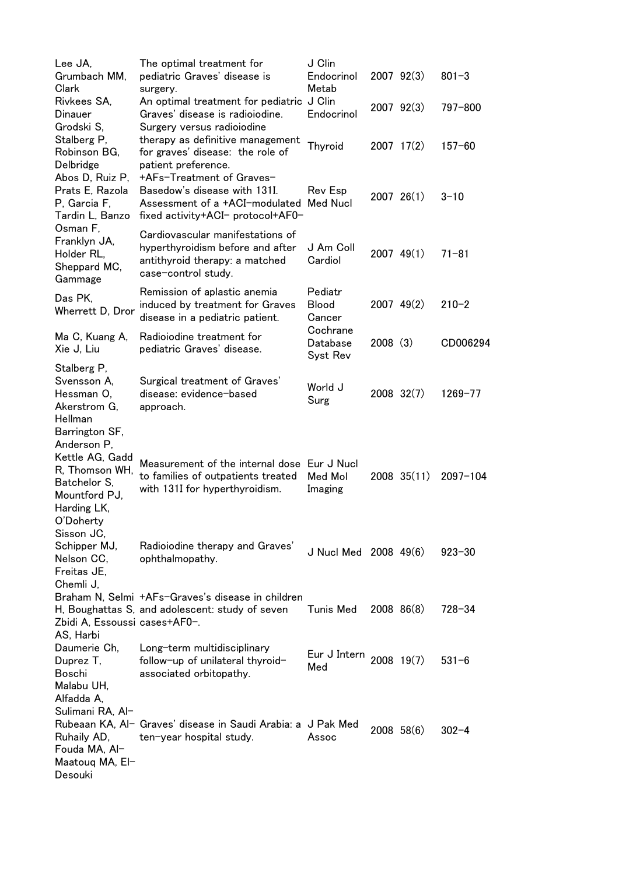| Lee JA,                       | The optimal treatment for                                            | J Clin                  |                |              |              |
|-------------------------------|----------------------------------------------------------------------|-------------------------|----------------|--------------|--------------|
| Grumbach MM,                  | pediatric Graves' disease is                                         | Endocrinol              | $2007$ $92(3)$ |              | $801 - 3$    |
| Clark                         | surgery.                                                             | Metab                   |                |              |              |
| Rivkees SA,                   | An optimal treatment for pediatric J Clin                            |                         |                | 2007 92(3)   | 797-800      |
| Dinauer                       | Graves' disease is radioiodine.                                      | Endocrinol              |                |              |              |
| Grodski S,                    | Surgery versus radioiodine                                           |                         |                |              |              |
| Stalberg P,<br>Robinson BG,   | therapy as definitive management<br>for graves' disease: the role of | Thyroid                 | $2007$ 17(2)   |              | $157 - 60$   |
| Delbridge                     | patient preference.                                                  |                         |                |              |              |
| Abos D, Ruiz P,               | +AFs-Treatment of Graves-                                            |                         |                |              |              |
| Prats E, Razola               | Basedow's disease with 131I.                                         | Rev Esp                 |                |              |              |
| P, Garcia F,                  | Assessment of a +ACI-modulated                                       | <b>Med Nucl</b>         | 200726(1)      |              | $3 - 10$     |
| Tardin L, Banzo               | fixed activity+ACI- protocol+AF0-                                    |                         |                |              |              |
| Osman F,                      |                                                                      |                         |                |              |              |
| Franklyn JA,                  | Cardiovascular manifestations of                                     |                         |                |              |              |
| Holder RL,                    | hyperthyroidism before and after                                     | J Am Coll               | $2007$ 49(1)   |              | $71 - 81$    |
| Sheppard MC,                  | antithyroid therapy: a matched                                       | Cardiol                 |                |              |              |
| Gammage                       | case-control study.                                                  |                         |                |              |              |
| Das PK,                       | Remission of aplastic anemia                                         | Pediatr                 |                |              |              |
| Wherrett D, Dror              | induced by treatment for Graves                                      | <b>Blood</b>            |                | $2007$ 49(2) | $210 - 2$    |
|                               | disease in a pediatric patient.                                      | Cancer                  |                |              |              |
| Ma C, Kuang A,                | Radioiodine treatment for                                            | Cochrane                |                |              |              |
| Xie J, Liu                    | pediatric Graves' disease.                                           | Database                | 2008(3)        |              | CD006294     |
|                               |                                                                      | Syst Rev                |                |              |              |
| Stalberg P,                   |                                                                      |                         |                |              |              |
| Svensson A,                   | Surgical treatment of Graves'                                        | World J                 |                |              |              |
| Hessman O,                    | disease: evidence-based                                              | Surg                    |                | 2008 32(7)   | $1269 - 77$  |
| Akerstrom G,<br>Hellman       | approach.                                                            |                         |                |              |              |
| Barrington SF,                |                                                                      |                         |                |              |              |
| Anderson P,                   |                                                                      |                         |                |              |              |
| Kettle AG, Gadd               |                                                                      |                         |                |              |              |
| R, Thomson WH,                | Measurement of the internal dose Eur J Nucl                          |                         |                |              |              |
| Batchelor S,                  | to families of outpatients treated                                   | Med Mol                 |                | 2008 35(11)  | $2097 - 104$ |
| Mountford PJ,                 | with 131I for hyperthyroidism.                                       | Imaging                 |                |              |              |
| Harding LK,                   |                                                                      |                         |                |              |              |
| O'Doherty                     |                                                                      |                         |                |              |              |
| Sisson JC,                    |                                                                      |                         |                |              |              |
| Schipper MJ,                  | Radioiodine therapy and Graves'                                      | J Nucl Med 2008 49(6)   |                |              | $923 - 30$   |
| Nelson CC,                    | ophthalmopathy.                                                      |                         |                |              |              |
| Freitas JE,                   |                                                                      |                         |                |              |              |
| Chemli J,                     |                                                                      |                         |                |              |              |
|                               | Braham N, Selmi +AFs-Graves's disease in children                    |                         |                |              |              |
|                               | H, Boughattas S, and adolescent: study of seven                      | Tunis Med               | 2008 86(8)     |              | $728 - 34$   |
| Zbidi A, Essoussi cases+AF0-. |                                                                      |                         |                |              |              |
| AS, Harbi                     |                                                                      |                         |                |              |              |
| Daumerie Ch,                  | Long-term multidisciplinary                                          | Eur J Intern 2008 19(7) |                |              | $531 - 6$    |
| Duprez T,<br>Boschi           | follow-up of unilateral thyroid-<br>associated orbitopathy.          | Med                     |                |              |              |
| Malabu UH,                    |                                                                      |                         |                |              |              |
| Alfadda A,                    |                                                                      |                         |                |              |              |
| Sulimani RA, Al-              |                                                                      |                         |                |              |              |
|                               | Rubeaan KA, Al- Graves' disease in Saudi Arabia: a J Pak Med         |                         |                |              |              |
| Ruhaily AD,                   | ten-year hospital study.                                             | Assoc                   |                | $2008$ 58(6) | $302 - 4$    |
| Fouda MA, Al-                 |                                                                      |                         |                |              |              |
| Maatouq MA, El-               |                                                                      |                         |                |              |              |
| Desouki                       |                                                                      |                         |                |              |              |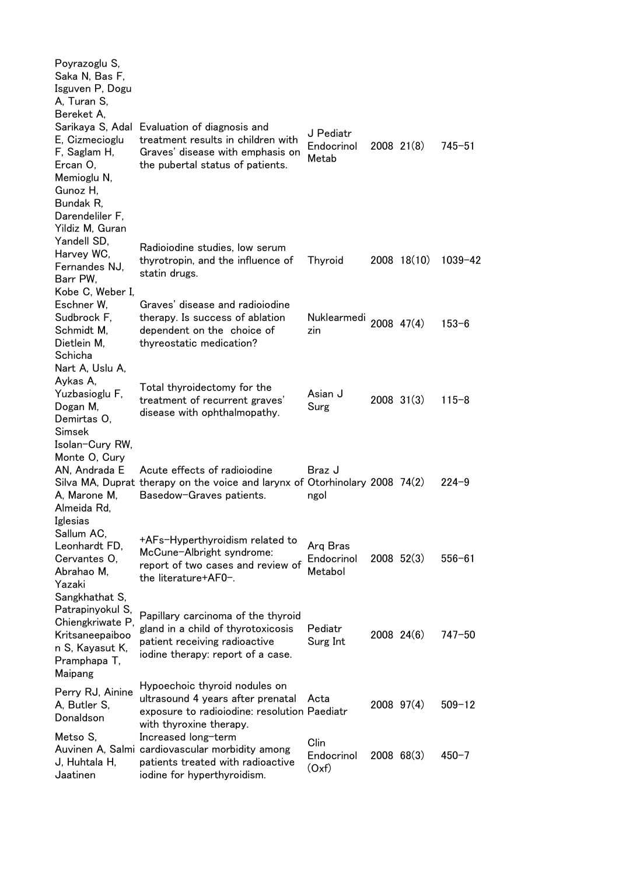| Poyrazoglu S,<br>Saka N, Bas F,<br>Isguven P, Dogu<br>A, Turan S,<br>Bereket A,                                          |                                                                                                                                                            |                                   |                |            |
|--------------------------------------------------------------------------------------------------------------------------|------------------------------------------------------------------------------------------------------------------------------------------------------------|-----------------------------------|----------------|------------|
| E, Cizmecioglu<br>F, Saglam H,<br>Ercan O,<br>Memioglu N,<br>Gunoz H,<br>Bundak R,<br>Darendeliler F,<br>Yildiz M, Guran | Sarikaya S, Adal Evaluation of diagnosis and<br>treatment results in children with<br>Graves' disease with emphasis on<br>the pubertal status of patients. | J Pediatr<br>Endocrinol<br>Metab  | $2008$ $21(8)$ | $745 - 51$ |
| Yandell SD,<br>Harvey WC,<br>Fernandes NJ,<br>Barr PW,                                                                   | Radioiodine studies, low serum<br>thyrotropin, and the influence of<br>statin drugs.                                                                       | <b>Thyroid</b>                    | 2008 18(10)    | 1039-42    |
| Kobe C, Weber I,<br>Eschner W.<br>Sudbrock F,<br>Schmidt M,<br>Dietlein M,<br>Schicha                                    | Graves' disease and radiolodine<br>therapy. Is success of ablation<br>dependent on the choice of<br>thyreostatic medication?                               | Nuklearmedi<br>zin                | 2008 47(4)     | $153 - 6$  |
| Nart A, Uslu A,<br>Aykas A,<br>Yuzbasioglu F,<br>Dogan M,<br>Demirtas O,<br>Simsek                                       | Total thyroidectomy for the<br>treatment of recurrent graves'<br>disease with ophthalmopathy.                                                              | Asian J<br>Surg                   | $2008$ 31(3)   | $115 - 8$  |
| Isolan-Cury RW,<br>Monte O, Cury<br>AN, Andrada E<br>A, Marone M,<br>Almeida Rd,                                         | Acute effects of radioiodine<br>Silva MA, Duprat therapy on the voice and larynx of Otorhinolary 2008 74(2)<br>Basedow-Graves patients.                    | ل Braz<br>ngol                    |                | $224 - 9$  |
| Iglesias<br>Sallum AC,<br>Leonhardt FD,<br>Cervantes O,<br>Abrahao M,<br>Yazaki                                          | +AFs-Hyperthyroidism related to<br>McCune-Albright syndrome:<br>report of two cases and review of<br>the literature+AF0-.                                  | Arg Bras<br>Endocrinol<br>Metabol | $2008$ 52(3)   | $556 - 61$ |
| Sangkhathat S,<br>Patrapinyokul S,<br>Chiengkriwate P,<br>Kritsaneepaiboo<br>n S, Kayasut K,<br>Pramphapa T,<br>Maipang  | Papillary carcinoma of the thyroid<br>gland in a child of thyrotoxicosis<br>patient receiving radioactive<br>iodine therapy: report of a case.             | Pediatr<br>Surg Int               | 2008 24(6)     | $747 - 50$ |
| Perry RJ, Ainine<br>A, Butler S,<br>Donaldson                                                                            | Hypoechoic thyroid nodules on<br>ultrasound 4 years after prenatal<br>exposure to radioiodine: resolution Paediatr<br>with thyroxine therapy.              | Acta                              | $2008$ 97(4)   | $509 - 12$ |
| Metso S,<br>J, Huhtala H,<br>Jaatinen                                                                                    | Increased long-term<br>Auvinen A, Salmi cardiovascular morbidity among<br>patients treated with radioactive<br>iodine for hyperthyroidism.                 | Clin<br>Endocrinol<br>(Oxf)       | $2008$ 68(3)   | $450 - 7$  |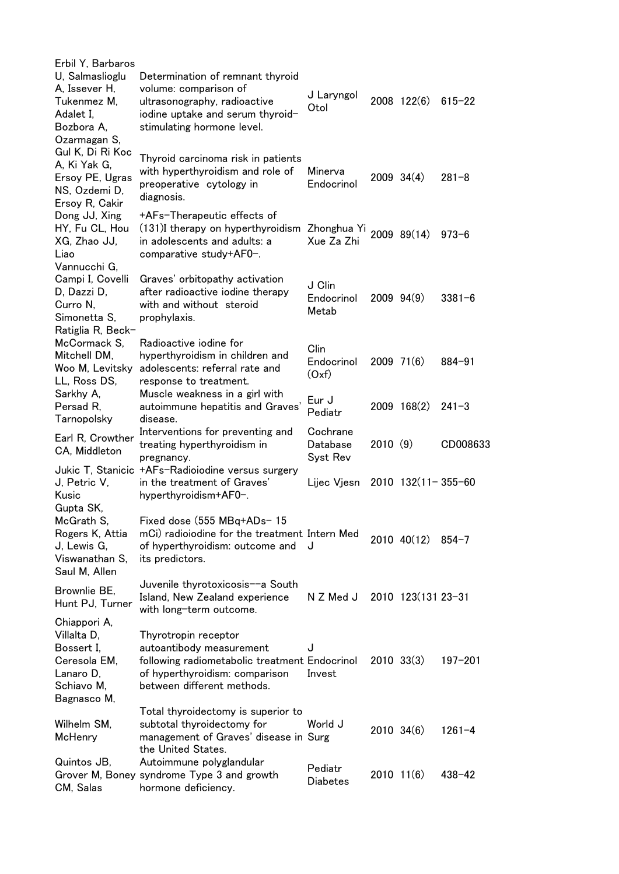| Erbil Y, Barbaros                 |                                                              |                 |         |                      |             |
|-----------------------------------|--------------------------------------------------------------|-----------------|---------|----------------------|-------------|
| U, Salmaslioglu<br>A, Issever H,  | Determination of remnant thyroid<br>volume: comparison of    | J Laryngol      |         |                      |             |
| Tukenmez M,                       | ultrasonography, radioactive                                 | Otol            |         | 2008 122(6)          | $615 - 22$  |
| Adalet I,                         | iodine uptake and serum thyroid-                             |                 |         |                      |             |
| Bozbora A.                        | stimulating hormone level.                                   |                 |         |                      |             |
| Ozarmagan S,                      |                                                              |                 |         |                      |             |
| Gul K, Di Ri Koc<br>A, Ki Yak G,  | Thyroid carcinoma risk in patients                           |                 |         |                      |             |
| Ersoy PE, Ugras                   | with hyperthyroidism and role of                             | Minerva         |         | $2009 \ 34(4)$       | $281 - 8$   |
| NS, Ozdemi D,                     | preoperative cytology in                                     | Endocrinol      |         |                      |             |
| Ersoy R, Cakir                    | diagnosis.                                                   |                 |         |                      |             |
| Dong JJ, Xing                     | +AFs-Therapeutic effects of                                  |                 |         |                      |             |
| HY, Fu CL, Hou                    | $(131)$ I therapy on hyperthyroidism Zhonghua Yi 2009 89(14) |                 |         |                      | $973 - 6$   |
| XG, Zhao JJ,                      | in adolescents and adults: a                                 | Xue Za Zhi      |         |                      |             |
| Liao                              | comparative study+AF0-.                                      |                 |         |                      |             |
| Vannucchi G,                      |                                                              |                 |         |                      |             |
| Campi I, Covelli                  | Graves' orbitopathy activation                               | J Clin          |         |                      |             |
| D, Dazzi D,                       | after radioactive iodine therapy                             | Endocrinol      |         | $2009$ $94(9)$       | $3381 - 6$  |
| Curro N.                          | with and without steroid                                     | Metab           |         |                      |             |
| Simonetta S,                      | prophylaxis.                                                 |                 |         |                      |             |
| Ratiglia R, Beck-                 |                                                              |                 |         |                      |             |
| McCormack S.                      | Radioactive iodine for<br>hyperthyroidism in children and    | Clin            |         |                      |             |
| Mitchell DM,<br>Woo M, Levitsky   | adolescents: referral rate and                               | Endocrinol      |         | $2009$ 71(6)         | $884 - 91$  |
| LL, Ross DS,                      | response to treatment.                                       | (Oxf)           |         |                      |             |
| Sarkhy A,                         | Muscle weakness in a girl with                               |                 |         |                      |             |
| Persad R,                         | autoimmune hepatitis and Graves'                             | Eur J           |         | 2009 168(2)          | $241 - 3$   |
| Tarnopolsky                       | disease.                                                     | Pediatr         |         |                      |             |
|                                   | Interventions for preventing and                             | Cochrane        |         |                      |             |
| Earl R, Crowther<br>CA, Middleton | treating hyperthyroidism in                                  | Database        | 2010(9) |                      | CD008633    |
|                                   | pregnancy.                                                   | Syst Rev        |         |                      |             |
|                                   | Jukic T, Stanicic +AFs-Radioiodine versus surgery            |                 |         |                      |             |
| J, Petric V,                      | in the treatment of Graves'                                  | Lijec Vjesn     |         | $2010$ 132(11-355-60 |             |
| Kusic                             | hyperthyroidism+AF0-.                                        |                 |         |                      |             |
| Gupta SK,                         |                                                              |                 |         |                      |             |
| McGrath S,                        | Fixed dose $(555 \text{ MBq+ADs-} 15$                        |                 |         |                      |             |
| Rogers K, Attia                   | mCi) radioiodine for the treatment Intern Med                | J               |         | 2010 40(12)          | $854 - 7$   |
| J, Lewis G,<br>Viswanathan S,     | of hyperthyroidism: outcome and<br>its predictors.           |                 |         |                      |             |
| Saul M, Allen                     |                                                              |                 |         |                      |             |
|                                   | Juvenile thyrotoxicosis--a South                             |                 |         |                      |             |
| Brownlie BE,                      | Island, New Zealand experience                               | N Z Med J       |         | 2010 123(131 23-31   |             |
| Hunt PJ, Turner                   | with long-term outcome.                                      |                 |         |                      |             |
| Chiappori A,                      |                                                              |                 |         |                      |             |
| Villalta D,                       | Thyrotropin receptor                                         |                 |         |                      |             |
| Bossert I.                        | autoantibody measurement                                     | J               |         |                      |             |
| Ceresola EM,                      | following radiometabolic treatment Endocrinol                |                 |         | $2010 \t33(3)$       | $197 - 201$ |
| Lanaro D,                         | of hyperthyroidism: comparison                               | Invest          |         |                      |             |
| Schiavo M,                        | between different methods.                                   |                 |         |                      |             |
| Bagnasco M,                       |                                                              |                 |         |                      |             |
|                                   | Total thyroidectomy is superior to                           |                 |         |                      |             |
| Wilhelm SM,                       | subtotal thyroidectomy for                                   | World J         |         | 2010 34(6)           | $1261 - 4$  |
| McHenry                           | management of Graves' disease in Surg<br>the United States.  |                 |         |                      |             |
| Quintos JB,                       | Autoimmune polyglandular                                     |                 |         |                      |             |
|                                   | Grover M, Boney syndrome Type 3 and growth                   | Pediatr         |         | $2010$ 11(6)         | $438 - 42$  |
| CM, Salas                         | hormone deficiency.                                          | <b>Diabetes</b> |         |                      |             |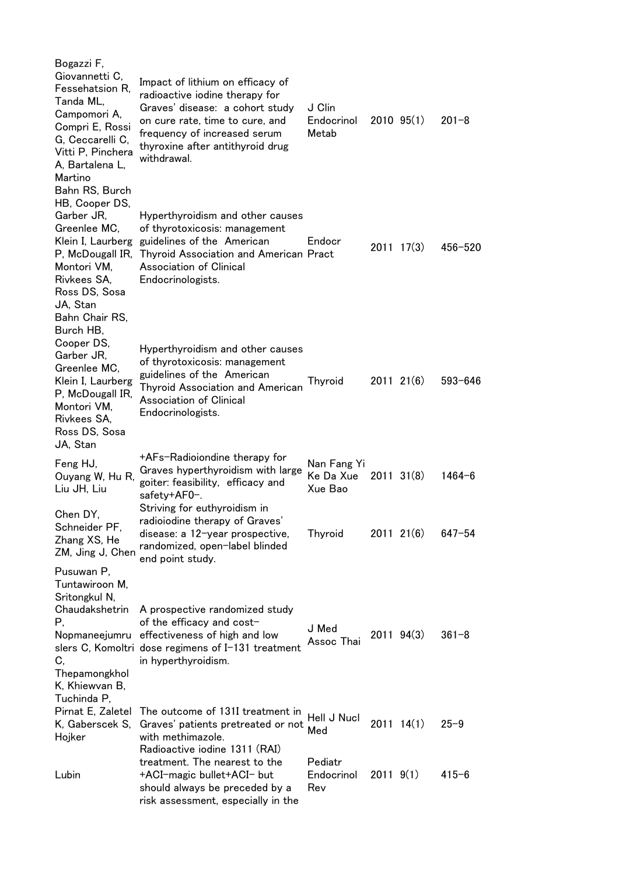| Bogazzi F,<br>Giovannetti C,<br>Fessehatsion R.<br>Tanda ML,<br>Campomori A,<br>Compri E, Rossi<br>G, Ceccarelli C,<br>Vitti P, Pinchera<br>A, Bartalena L,<br>Martino      | Impact of lithium on efficacy of<br>radioactive iodine therapy for<br>Graves' disease: a cohort study<br>on cure rate, time to cure, and<br>frequency of increased serum<br>thyroxine after antithyroid drug<br>withdrawal. | J Clin<br>Endocrinol<br>Metab       |                | $2010$ $95(1)$ | $201 - 8$   |
|-----------------------------------------------------------------------------------------------------------------------------------------------------------------------------|-----------------------------------------------------------------------------------------------------------------------------------------------------------------------------------------------------------------------------|-------------------------------------|----------------|----------------|-------------|
| Bahn RS, Burch<br>HB, Cooper DS,<br>Garber JR,<br>Greenlee MC,<br>Klein I, Laurberg<br>P, McDougall IR,<br>Montori VM,<br>Rivkees SA,<br>Ross DS, Sosa<br>JA, Stan          | Hyperthyroidism and other causes<br>of thyrotoxicosis: management<br>guidelines of the American<br><b>Thyroid Association and American Pract</b><br><b>Association of Clinical</b><br>Endocrinologists.                     | Endocr                              |                | $2011 \t17(3)$ | 456-520     |
| Bahn Chair RS,<br>Burch HB,<br>Cooper DS,<br>Garber JR,<br>Greenlee MC,<br>Klein I, Laurberg<br>P, McDougall IR,<br>Montori VM,<br>Rivkees SA,<br>Ross DS, Sosa<br>JA, Stan | Hyperthyroidism and other causes<br>of thyrotoxicosis: management<br>guidelines of the American<br><b>Thyroid Association and American</b><br><b>Association of Clinical</b><br>Endocrinologists.                           | Thyroid                             |                | $2011$ $21(6)$ | $593 - 646$ |
| Feng HJ,<br>Ouyang W, Hu R,<br>Liu JH, Liu                                                                                                                                  | +AFs-Radioiondine therapy for<br>Graves hyperthyroidism with large<br>goiter: feasibility, efficacy and<br>safety+AF0-.                                                                                                     | Nan Fang Yi<br>Ke Da Xue<br>Xue Bao |                | $2011 \t31(8)$ | 1464-6      |
| Chen DY,<br>Schneider PF,<br>Zhang XS, He<br>ZM, Jing J, Chen                                                                                                               | Striving for euthyroidism in<br>radioiodine therapy of Graves'<br>disease: a 12-year prospective,<br>randomized, open-label blinded<br>end point study.                                                                     | <b>Thyroid</b>                      |                | $2011$ $21(6)$ | $647 - 54$  |
| Pusuwan P,<br>Tuntawiroon M,<br>Sritongkul N,<br>Chaudakshetrin<br>Р,<br>C,<br>Thepamongkhol<br>K, Khiewvan B,                                                              | A prospective randomized study<br>of the efficacy and cost-<br>Nopmaneejumru effectiveness of high and low<br>slers C, Komoltri dose regimens of I-131 treatment<br>in hyperthyroidism.                                     | J Med<br>Assoc Thai                 |                | $2011$ $94(3)$ | $361 - 8$   |
| Tuchinda P,<br>Pirnat E, Zaletel<br>K, Gaberscek S,<br>Hojker                                                                                                               | The outcome of 131I treatment in<br>Graves' patients pretreated or not<br>with methimazole.<br>Radioactive iodine 1311 (RAI)                                                                                                | Hell J Nucl<br>Med                  |                | $2011$ $14(1)$ | $25 - 9$    |
| Lubin                                                                                                                                                                       | treatment. The nearest to the<br>+ACI-magic bullet+ACI- but<br>should always be preceded by a<br>risk assessment, especially in the                                                                                         | Pediatr<br>Endocrinol<br>Rev        | $2011 \; 9(1)$ |                | $415 - 6$   |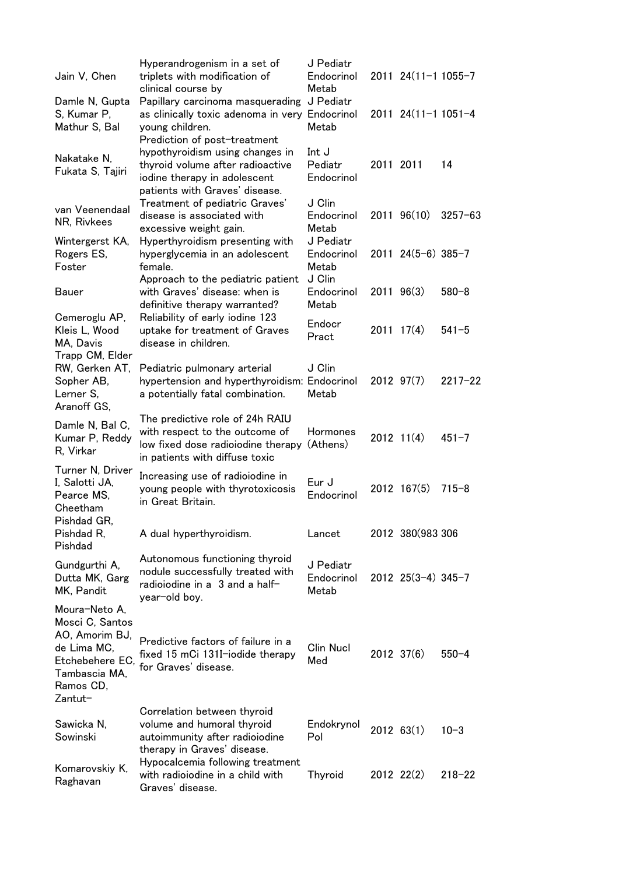| Jain V, Chen                                                                                                                  | Hyperandrogenism in a set of<br>triplets with modification of<br>clinical course by                                                       | J Pediatr<br>Endocrinol<br>Metab |                | 2011 24(11-1 1055-7      |             |
|-------------------------------------------------------------------------------------------------------------------------------|-------------------------------------------------------------------------------------------------------------------------------------------|----------------------------------|----------------|--------------------------|-------------|
| Damle N, Gupta<br>S, Kumar P,<br>Mathur S, Bal                                                                                | Papillary carcinoma masquerading<br>as clinically toxic adenoma in very<br>young children.<br>Prediction of post-treatment                | J Pediatr<br>Endocrinol<br>Metab |                | $2011$ $24(11-11051-4$   |             |
| Nakatake N,<br>Fukata S, Tajiri                                                                                               | hypothyroidism using changes in<br>thyroid volume after radioactive<br>iodine therapy in adolescent<br>patients with Graves' disease.     | Int J<br>Pediatr<br>Endocrinol   | 2011 2011      |                          | 14          |
| van Veenendaal<br>NR, Rivkees                                                                                                 | Treatment of pediatric Graves'<br>disease is associated with<br>excessive weight gain.                                                    | J Clin<br>Endocrinol<br>Metab    |                | $2011$ $96(10)$          | $3257 - 63$ |
| Wintergerst KA,<br>Rogers ES,<br>Foster                                                                                       | Hyperthyroidism presenting with<br>hyperglycemia in an adolescent<br>female.                                                              | J Pediatr<br>Endocrinol<br>Metab |                | $2011$ $24(5-6)$ $385-7$ |             |
| <b>Bauer</b>                                                                                                                  | Approach to the pediatric patient<br>with Graves' disease: when is<br>definitive therapy warranted?                                       | J Clin<br>Endocrinol<br>Metab    | $2011$ $96(3)$ |                          | $580 - 8$   |
| Cemeroglu AP,<br>Kleis L, Wood<br>MA, Davis                                                                                   | Reliability of early iodine 123<br>uptake for treatment of Graves<br>disease in children.                                                 | Endocr<br>Pract                  |                | $2011 \t17(4)$           | $541 - 5$   |
| Trapp CM, Elder<br>RW, Gerken AT,<br>Sopher AB,<br>Lerner S,<br>Aranoff GS,                                                   | Pediatric pulmonary arterial<br>hypertension and hyperthyroidism: Endocrinol<br>a potentially fatal combination.                          | J Clin<br>Metab                  | $2012$ $97(7)$ |                          | $2217 - 22$ |
| Damle N, Bal C,<br>Kumar P, Reddy<br>R, Virkar                                                                                | The predictive role of 24h RAIU<br>with respect to the outcome of<br>low fixed dose radioiodine therapy<br>in patients with diffuse toxic | Hormones<br>(Athens)             |                | $2012$ 11(4)             | $451 - 7$   |
| Turner N, Driver<br>I, Salotti JA,<br>Pearce MS,<br>Cheetham                                                                  | Increasing use of radioiodine in<br>young people with thyrotoxicosis<br>in Great Britain.                                                 | Eur J<br>Endocrinol              |                | 2012 167(5)              | $715 - 8$   |
| Pishdad GR,<br>Pishdad R,<br>Pishdad                                                                                          | A dual hyperthyroidism.                                                                                                                   | Lancet                           |                | 2012 380(983 306         |             |
| Gundgurthi A,<br>Dutta MK, Garg<br>MK, Pandit                                                                                 | Autonomous functioning thyroid<br>nodule successfully treated with<br>radioiodine in a 3 and a half-<br>year-old boy.                     | J Pediatr<br>Endocrinol<br>Metab |                | $2012$ $25(3-4)$ $345-7$ |             |
| Moura-Neto A,<br>Mosci C, Santos<br>AO, Amorim BJ,<br>de Lima MC,<br>Etchebehere EC,<br>Tambascia MA,<br>Ramos CD,<br>Zantut- | Predictive factors of failure in a<br>fixed 15 mCi 131I-iodide therapy<br>for Graves' disease.                                            | Clin Nucl<br>Med                 |                | 2012 37(6)               | $550 - 4$   |
| Sawicka N,<br>Sowinski                                                                                                        | Correlation between thyroid<br>volume and humoral thyroid<br>autoimmunity after radioiodine<br>therapy in Graves' disease.                | Endokrynol<br>Pol                | $2012$ 63(1)   |                          | $10 - 3$    |
| Komarovskiy K,<br>Raghavan                                                                                                    | Hypocalcemia following treatment<br>with radioiodine in a child with<br>Graves' disease.                                                  | Thyroid                          |                | $2012$ $22(2)$           | $218 - 22$  |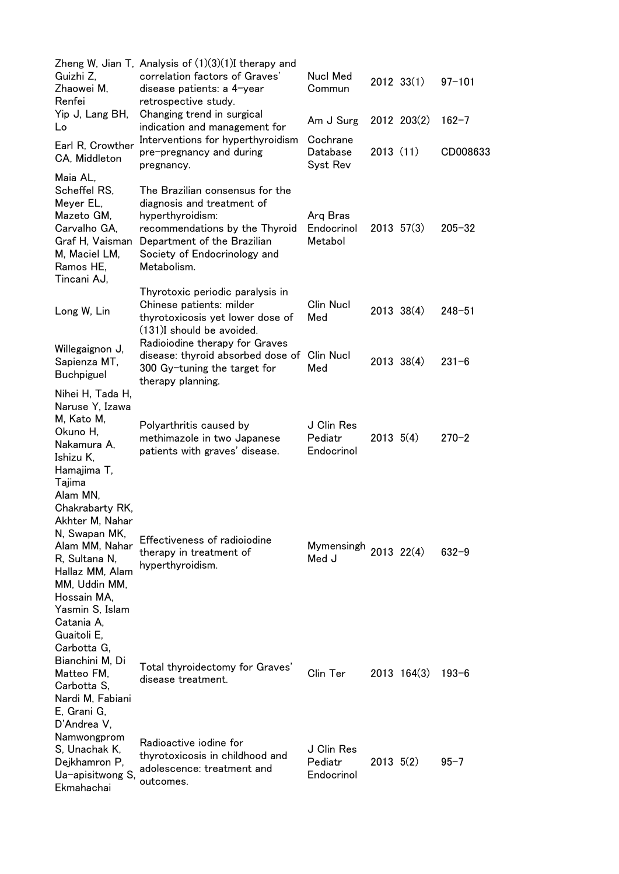| Guizhi Z,<br>Zhaowei M,<br>Renfei                                                                                                                                        | Zheng W, Jian T, Analysis of $(1)(3)(1)$ I therapy and<br>correlation factors of Graves'<br>disease patients: a 4-year<br>retrospective study.                                                    | <b>Nucl Med</b><br>Commun           |               | $2012$ $33(1)$  | $97 - 101$ |
|--------------------------------------------------------------------------------------------------------------------------------------------------------------------------|---------------------------------------------------------------------------------------------------------------------------------------------------------------------------------------------------|-------------------------------------|---------------|-----------------|------------|
| Yip J, Lang BH,<br>Lo                                                                                                                                                    | Changing trend in surgical<br>indication and management for                                                                                                                                       | Am J Surg                           |               | 2012 203(2)     | $162 - 7$  |
| Earl R, Crowther<br>CA, Middleton                                                                                                                                        | Interventions for hyperthyroidism<br>pre-pregnancy and during<br>pregnancy.                                                                                                                       | Cochrane<br>Database<br>Syst Rev    | 2013(11)      |                 | CD008633   |
| Maia AL,<br>Scheffel RS,<br>Meyer EL,<br>Mazeto GM,<br>Carvalho GA,<br>Graf H, Vaisman<br>M, Maciel LM,<br>Ramos HE,<br>Tincani AJ,                                      | The Brazilian consensus for the<br>diagnosis and treatment of<br>hyperthyroidism:<br>recommendations by the Thyroid<br>Department of the Brazilian<br>Society of Endocrinology and<br>Metabolism. | Arg Bras<br>Endocrinol<br>Metabol   |               | $2013$ 57(3)    | $205 - 32$ |
| Long W, Lin                                                                                                                                                              | Thyrotoxic periodic paralysis in<br>Chinese patients: milder<br>thyrotoxicosis yet lower dose of<br>(131)I should be avoided.                                                                     | Clin Nucl<br>Med                    |               | $2013 \t38(4)$  | $248 - 51$ |
| Willegaignon J,<br>Sapienza MT,<br><b>Buchpiguel</b>                                                                                                                     | Radioiodine therapy for Graves<br>disease: thyroid absorbed dose of<br>300 Gy-tuning the target for<br>therapy planning.                                                                          | Clin Nucl<br>Med                    |               | $2013 \t38(4)$  | $231 - 6$  |
| Nihei H, Tada H,<br>Naruse Y, Izawa<br>M, Kato M,<br>Okuno H,<br>Nakamura A,<br>Ishizu K,<br>Hamajima T,<br>Tajima                                                       | Polyarthritis caused by<br>methimazole in two Japanese<br>patients with graves' disease.                                                                                                          | J Clin Res<br>Pediatr<br>Endocrinol | $2013 \t5(4)$ |                 | $270 - 2$  |
| Alam MN,<br>Chakrabarty RK,<br>Akhter M. Nahar<br>N, Swapan MK,<br>Alam MM, Nahar<br>R, Sultana N,<br>Hallaz MM, Alam<br>MM, Uddin MM,<br>Hossain MA,<br>Yasmin S, Islam | Effectiveness of radioiodine<br>therapy in treatment of<br>hyperthyroidism.                                                                                                                       | Mymensingh 2013 22(4)<br>Med J      |               |                 | $632 - 9$  |
| Catania A,<br>Guaitoli E,<br>Carbotta G,<br>Bianchini M, Di<br>Matteo FM,<br>Carbotta S,<br>Nardi M, Fabiani<br>E, Grani G,<br>D'Andrea V,                               | Total thyroidectomy for Graves'<br>disease treatment.                                                                                                                                             | Clin Ter                            |               | $2013 \t164(3)$ | $193 - 6$  |
| Namwongprom<br>S, Unachak K,<br>Dejkhamron P,<br>Ua-apisitwong S,<br>Ekmahachai                                                                                          | Radioactive iodine for<br>thyrotoxicosis in childhood and<br>adolescence: treatment and<br>outcomes.                                                                                              | J Clin Res<br>Pediatr<br>Endocrinol | $2013 \t5(2)$ |                 | $95 - 7$   |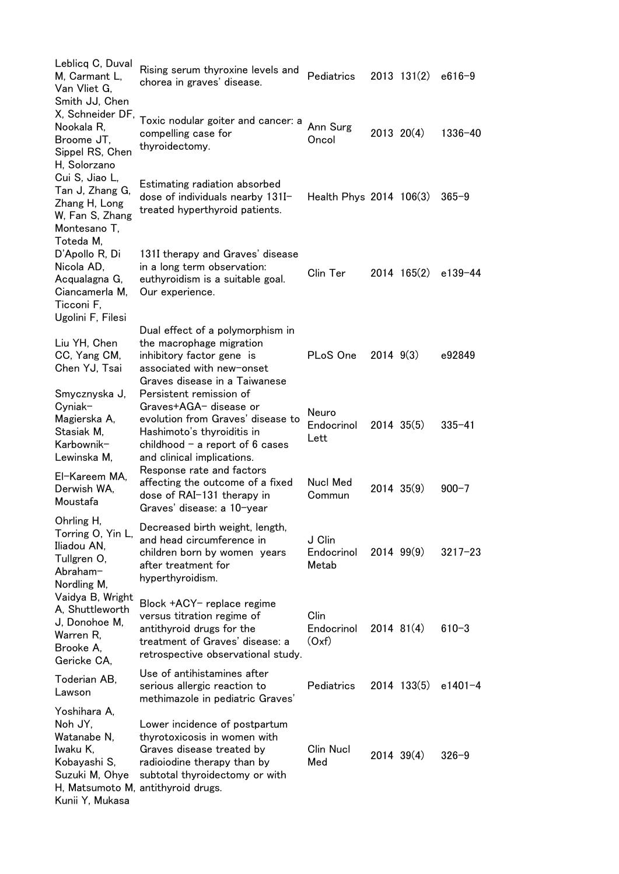| Leblicq C, Duval<br>M, Carmant L,<br>Van Vliet G,<br>Smith JJ, Chen                                     | Rising serum thyroxine levels and<br>chorea in graves' disease.                                                                                                                                   | Pediatrics                    |               | $2013$ $131(2)$ | $e616-9$    |
|---------------------------------------------------------------------------------------------------------|---------------------------------------------------------------------------------------------------------------------------------------------------------------------------------------------------|-------------------------------|---------------|-----------------|-------------|
| X, Schneider DF,<br>Nookala R,<br>Broome JT,<br>Sippel RS, Chen<br>H, Solorzano                         | Toxic nodular goiter and cancer: a<br>compelling case for<br>thyroidectomy.                                                                                                                       | Ann Surg<br>Oncol             |               | $2013$ $20(4)$  | 1336-40     |
| Cui S, Jiao L,<br>Tan J, Zhang G,<br>Zhang H, Long<br>W, Fan S, Zhang<br>Montesano T,<br>Toteda M,      | Estimating radiation absorbed<br>dose of individuals nearby 131I-<br>treated hyperthyroid patients.                                                                                               | Health Phys 2014 106(3)       |               |                 | $365 - 9$   |
| D'Apollo R, Di<br>Nicola AD,<br>Acqualagna G,<br>Ciancamerla M,<br>Ticconi F,<br>Ugolini F, Filesi      | 131I therapy and Graves' disease<br>in a long term observation:<br>euthyroidism is a suitable goal.<br>Our experience.                                                                            | Clin Ter                      |               | $2014$ 165(2)   | e139-44     |
| Liu YH, Chen<br>CC, Yang CM,<br>Chen YJ, Tsai                                                           | Dual effect of a polymorphism in<br>the macrophage migration<br>inhibitory factor gene is<br>associated with new-onset<br>Graves disease in a Taiwanese                                           | PLoS One                      | $2014$ $9(3)$ |                 | e92849      |
| Smycznyska J,<br>$C$ yniak-<br>Magierska A,<br>Stasiak M,<br>Karbownik-<br>Lewinska M,                  | Persistent remission of<br>Graves+AGA- disease or<br>evolution from Graves' disease to<br>Hashimoto's thyroiditis in<br>childhood $-$ a report of $6$ cases<br>and clinical implications.         | Neuro<br>Endocrinol<br>Lett   |               | $2014$ $35(5)$  | $335 - 41$  |
| El-Kareem MA,<br>Derwish WA,<br>Moustafa                                                                | Response rate and factors<br>affecting the outcome of a fixed<br>dose of RAI-131 therapy in<br>Graves' disease: a 10-year                                                                         | <b>Nucl Med</b><br>Commun     |               | $2014$ 35(9)    | $900 - 7$   |
| Ohrling H,<br>Torring O, Yin L,<br>Iliadou AN,<br>Tullgren O,<br>Abraham-<br>Nordling M,                | Decreased birth weight, length,<br>and head circumference in<br>children born by women years<br>after treatment for<br>hyperthyroidism.                                                           | J Clin<br>Endocrinol<br>Metab |               | $2014$ $99(9)$  | $3217 - 23$ |
| Vaidya B, Wright<br>A. Shuttleworth<br>J, Donohoe M,<br>Warren R,<br>Brooke A,<br>Gericke CA,           | Block +ACY- replace regime<br>versus titration regime of<br>antithyroid drugs for the<br>treatment of Graves' disease: a<br>retrospective observational study.                                    | Clin<br>Endocrinol<br>(Oxf)   | $2014$ 81(4)  |                 | $610 - 3$   |
| Toderian AB,<br>Lawson                                                                                  | Use of antihistamines after<br>serious allergic reaction to<br>methimazole in pediatric Graves'                                                                                                   | Pediatrics                    |               | 2014 133(5)     | e1401-4     |
| Yoshihara A,<br>Noh JY,<br>Watanabe N,<br>Iwaku K,<br>Kobayashi S,<br>Suzuki M, Ohye<br>Kunii Y, Mukasa | Lower incidence of postpartum<br>thyrotoxicosis in women with<br>Graves disease treated by<br>radioiodine therapy than by<br>subtotal thyroidectomy or with<br>H, Matsumoto M, antithyroid drugs. | <b>Clin Nucl</b><br>Med       |               | $2014$ 39(4)    | $326 - 9$   |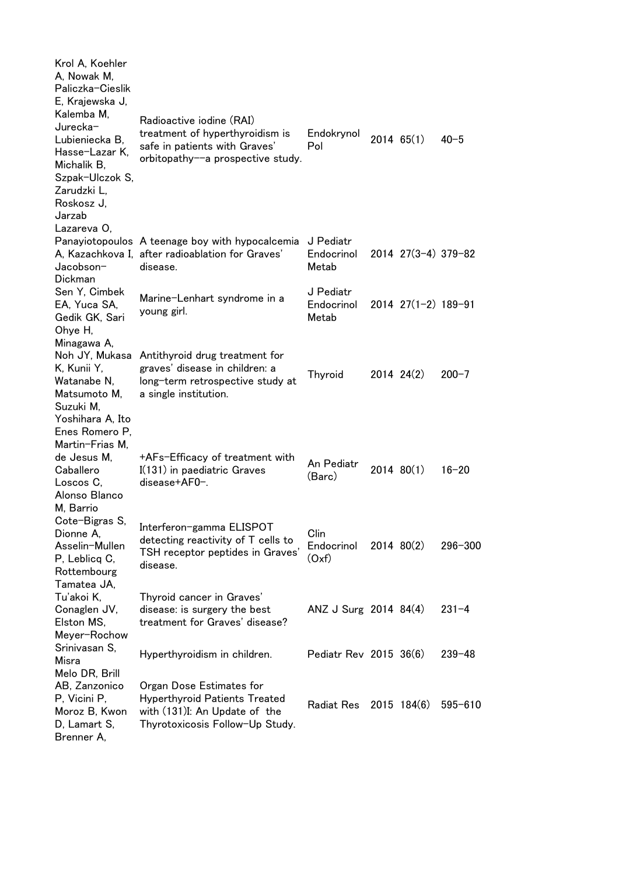| Krol A, Koehler<br>A, Nowak M,<br>Paliczka-Cieslik<br>E, Krajewska J,<br>Kalemba M,<br>Jurecka-<br>Lubieniecka B,<br>Hasse-Lazar K,<br>Michalik B,<br>Szpak-Ulczok S,<br>Zarudzki L,<br>Roskosz J.<br>Jarzab | Radioactive iodine (RAI)<br>treatment of hyperthyroidism is<br>safe in patients with Graves'<br>orbitopathy--a prospective study.    | Endokrynol<br>Pol                | $2014$ 65(1)              | $40 - 5$    |
|--------------------------------------------------------------------------------------------------------------------------------------------------------------------------------------------------------------|--------------------------------------------------------------------------------------------------------------------------------------|----------------------------------|---------------------------|-------------|
| Lazareva O,<br>Jacobson-<br>Dickman                                                                                                                                                                          | Panayiotopoulos A teenage boy with hypocalcemia<br>A, Kazachkova I, after radioablation for Graves'<br>disease.                      | J Pediatr<br>Endocrinol<br>Metab | $2014$ $27(3-4)$ $379-82$ |             |
| Sen Y, Cimbek<br>EA, Yuca SA,<br>Gedik GK, Sari<br>Ohye H,                                                                                                                                                   | Marine-Lenhart syndrome in a<br>young girl.                                                                                          | J Pediatr<br>Endocrinol<br>Metab | $2014$ $27(1-2)$ $189-91$ |             |
| Minagawa A,<br>Noh JY, Mukasa<br>K, Kunii Y,<br>Watanabe N,<br>Matsumoto M,<br>Suzuki M,<br>Yoshihara A, Ito                                                                                                 | Antithyroid drug treatment for<br>graves' disease in children: a<br>long-term retrospective study at<br>a single institution.        | Thyroid                          | $2014$ $24(2)$            | $200 - 7$   |
| Enes Romero P,<br>Martin-Frias M,<br>de Jesus M,<br>Caballero<br>Loscos C,<br>Alonso Blanco<br>M, Barrio                                                                                                     | +AFs-Efficacy of treatment with<br>I(131) in paediatric Graves<br>disease+AF0-.                                                      | An Pediatr<br>(Barc)             | 2014 80(1)                | $16 - 20$   |
| Cote-Bigras S,<br>Dionne A,<br>Asselin-Mullen<br>P, Leblicq C,<br>Rottembourg<br>Tamatea JA,                                                                                                                 | Interferon-gamma ELISPOT<br>detecting reactivity of T cells to<br>TSH receptor peptides in Graves'<br>disease.                       | Clin<br>Endocrinol<br>(Oxf)      | 2014 80(2)                | $296 - 300$ |
| Tu'akoi K,<br>Conaglen JV,<br>Elston MS,<br>Meyer-Rochow                                                                                                                                                     | Thyroid cancer in Graves'<br>disease: is surgery the best<br>treatment for Graves' disease?                                          | ANZ J Surg 2014 84(4)            |                           | $231 - 4$   |
| Srinivasan S,<br>Misra<br>Melo DR, Brill                                                                                                                                                                     | Hyperthyroidism in children.                                                                                                         | Pediatr Rev 2015 36(6)           |                           | $239 - 48$  |
| AB, Zanzonico<br>P, Vicini P,<br>Moroz B, Kwon<br>D, Lamart S,<br>Brenner A,                                                                                                                                 | Organ Dose Estimates for<br><b>Hyperthyroid Patients Treated</b><br>with (131)I: An Update of the<br>Thyrotoxicosis Follow-Up Study. | <b>Radiat Res</b>                | 2015 184(6)               | $595 - 610$ |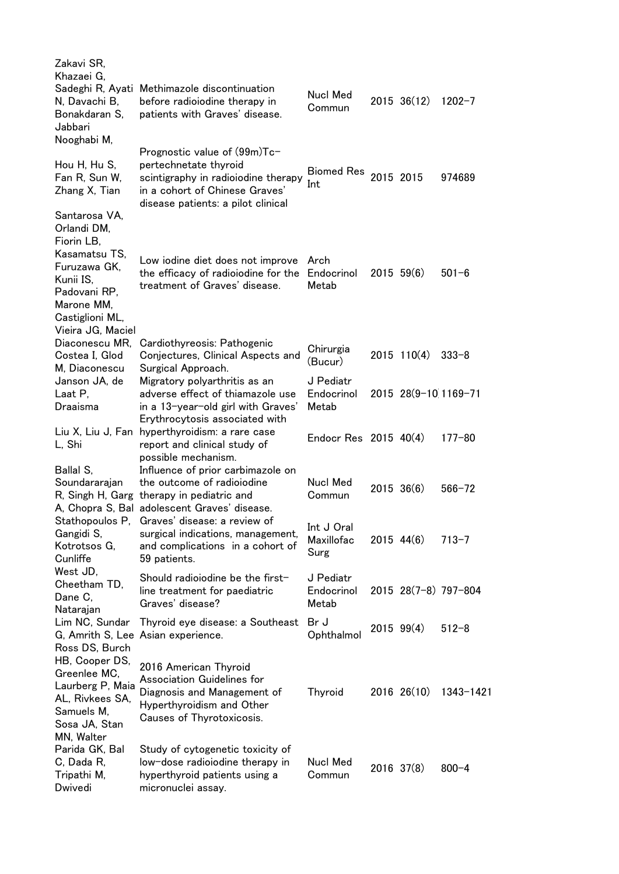| Zakavi SR,<br>Khazaei G,                                                                                 |                                                                                                                                                                      |                                  |                 |                      |
|----------------------------------------------------------------------------------------------------------|----------------------------------------------------------------------------------------------------------------------------------------------------------------------|----------------------------------|-----------------|----------------------|
| N, Davachi B,<br>Bonakdaran S,<br>Jabbari<br>Nooghabi M,                                                 | Sadeghi R, Ayati Methimazole discontinuation<br>before radioiodine therapy in<br>patients with Graves' disease.                                                      | Nucl Med<br>Commun               | 2015 36(12)     | $1202 - 7$           |
| Hou H, Hu S,<br>Fan R, Sun W,<br>Zhang X, Tian                                                           | Prognostic value of (99m)Tc-<br>pertechnetate thyroid<br>scintigraphy in radioiodine therapy<br>in a cohort of Chinese Graves'<br>disease patients: a pilot clinical | Biomed Res<br>Int                | 2015 2015       | 974689               |
| Santarosa VA,<br>Orlandi DM,<br>Fiorin LB,<br>Kasamatsu TS,<br>Furuzawa GK,<br>Kunii IS,<br>Padovani RP, | Low iodine diet does not improve<br>the efficacy of radioiodine for the<br>treatment of Graves' disease.                                                             | Arch<br>Endocrinol<br>Metab      | $2015 \t59(6)$  | $501 - 6$            |
| Marone MM,<br>Castiglioni ML,<br>Vieira JG, Maciel                                                       |                                                                                                                                                                      |                                  |                 |                      |
| Diaconescu MR,<br>Costea I, Glod<br>M, Diaconescu                                                        | Cardiothyreosis: Pathogenic<br>Conjectures, Clinical Aspects and<br>Surgical Approach.                                                                               | Chirurgia<br>(Bucur)             | $2015$ 110(4)   | $333 - 8$            |
| Janson JA, de<br>Laat P,<br>Draaisma                                                                     | Migratory polyarthritis as an<br>adverse effect of thiamazole use<br>in a 13-year-old girl with Graves'                                                              | J Pediatr<br>Endocrinol<br>Metab |                 | 2015 28(9-10 1169-71 |
| L, Shi                                                                                                   | Erythrocytosis associated with<br>Liu X, Liu J, Fan hyperthyroidism: a rare case<br>report and clinical study of<br>possible mechanism.                              | Endocr Res $2015$ 40(4)          |                 | $177 - 80$           |
| Ballal S,<br>Soundararajan                                                                               | Influence of prior carbimazole on<br>the outcome of radioiodine<br>R, Singh H, Garg therapy in pediatric and<br>A, Chopra S, Bal adolescent Graves' disease.         | Nucl Med<br>Commun               | $2015 \t36(6)$  | $566 - 72$           |
| Gangidi S,<br>Kotrotsos G,<br>Cunliffe                                                                   | Stathopoulos P, Graves' disease: a review of<br>surgical indications, management,<br>and complications in a cohort of<br>59 patients.                                | Int J Oral<br>Maxillofac<br>Surg | $2015$ 44(6)    | $713 - 7$            |
| West JD,<br>Cheetham TD,<br>Dane C,<br>Natarajan                                                         | Should radioiodine be the first-<br>line treatment for paediatric<br>Graves' disease?                                                                                | J Pediatr<br>Endocrinol<br>Metab |                 | 2015 28(7-8) 797-804 |
| Lim NC, Sundar<br>Ross DS, Burch                                                                         | Thyroid eye disease: a Southeast<br>G, Amrith S, Lee Asian experience.                                                                                               | Br J<br>Ophthalmol               | $2015$ 99(4)    | $512 - 8$            |
| HB, Cooper DS,<br>Greenlee MC,<br>Laurberg P, Maia<br>AL, Rivkees SA,<br>Samuels M,<br>Sosa JA, Stan     | 2016 American Thyroid<br>Association Guidelines for<br>Diagnosis and Management of<br>Hyperthyroidism and Other<br>Causes of Thyrotoxicosis.                         | Thyroid                          | $2016$ $26(10)$ | 1343-1421            |
| MN, Walter<br>Parida GK, Bal<br>C, Dada R,<br>Tripathi M,<br>Dwivedi                                     | Study of cytogenetic toxicity of<br>low-dose radioiodine therapy in<br>hyperthyroid patients using a<br>micronuclei assay.                                           | Nucl Med<br>Commun               | 2016 37(8)      | $800 - 4$            |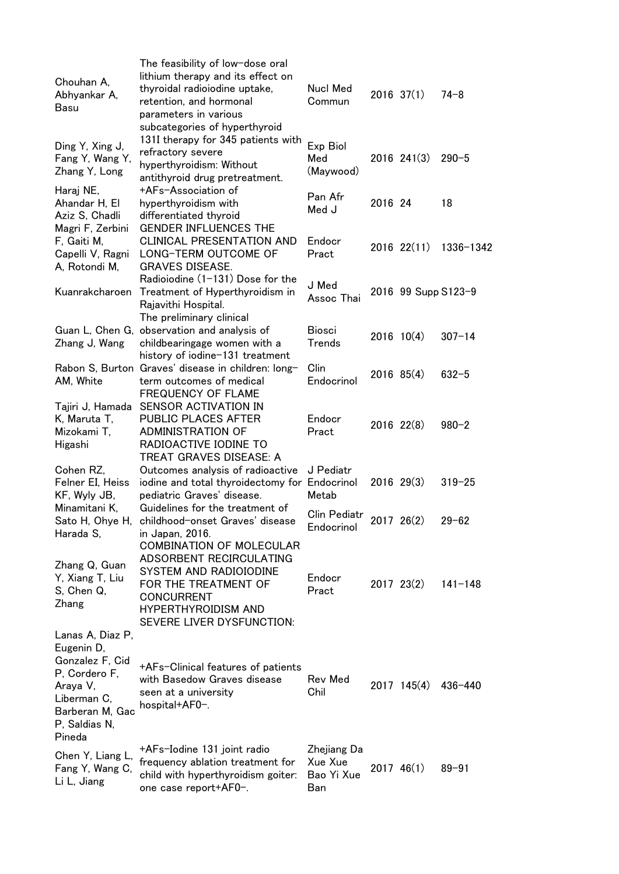| Chouhan A,<br>Abhyankar A,<br>Basu                                                                                                          | The feasibility of low-dose oral<br>lithium therapy and its effect on<br>thyroidal radioiodine uptake,<br>retention, and hormonal<br>parameters in various<br>subcategories of hyperthyroid | <b>Nucl Med</b><br>Commun                   |         | $2016$ 37(1)        | $74 - 8$    |
|---------------------------------------------------------------------------------------------------------------------------------------------|---------------------------------------------------------------------------------------------------------------------------------------------------------------------------------------------|---------------------------------------------|---------|---------------------|-------------|
| Ding Y, Xing J,<br>Fang Y, Wang Y,<br>Zhang Y, Long                                                                                         | 131I therapy for 345 patients with<br>refractory severe<br>hyperthyroidism: Without<br>antithyroid drug pretreatment.                                                                       | Exp Biol<br>Med<br>(Maywood)                |         | $2016$ $241(3)$     | $290 - 5$   |
| Haraj NE,<br>Ahandar H, El<br>Aziz S, Chadli<br>Magri F, Zerbini                                                                            | +AFs-Association of<br>hyperthyroidism with<br>differentiated thyroid<br><b>GENDER INFLUENCES THE</b>                                                                                       | Pan Afr<br>Med J                            | 2016 24 |                     | 18          |
| F, Gaiti M,<br>Capelli V, Ragni<br>A, Rotondi M,                                                                                            | <b>CLINICAL PRESENTATION AND</b><br>LONG-TERM OUTCOME OF<br><b>GRAVES DISEASE.</b>                                                                                                          | Endocr<br>Pract                             |         | $2016$ $22(11)$     | 1336-1342   |
| Kuanrakcharoen                                                                                                                              | Radioiodine (1-131) Dose for the<br>Treatment of Hyperthyroidism in<br>Rajavithi Hospital.                                                                                                  | J Med<br>Assoc Thai                         |         | 2016 99 Supp S123-9 |             |
| Zhang J, Wang                                                                                                                               | The preliminary clinical<br>Guan L, Chen G, observation and analysis of<br>childbearingage women with a<br>history of iodine-131 treatment                                                  | <b>Biosci</b><br>Trends                     |         | $2016$ 10(4)        | $307 - 14$  |
| AM, White                                                                                                                                   | Rabon S, Burton Graves' disease in children: long-<br>term outcomes of medical<br><b>FREQUENCY OF FLAME</b>                                                                                 | Clin<br>Endocrinol                          |         | $2016$ 85(4)        | $632 - 5$   |
| Tajiri J, Hamada<br>K, Maruta T,<br>Mizokami T,<br>Higashi                                                                                  | SENSOR ACTIVATION IN<br>PUBLIC PLACES AFTER<br><b>ADMINISTRATION OF</b><br>RADIOACTIVE IODINE TO                                                                                            | Endocr<br>Pract                             |         | 2016 22(8)          | $980 - 2$   |
| Cohen RZ,<br>Felner EI, Heiss<br>KF, Wyly JB,                                                                                               | TREAT GRAVES DISEASE: A<br>Outcomes analysis of radioactive<br>iodine and total thyroidectomy for Endocrinol<br>pediatric Graves' disease.                                                  | J Pediatr<br>Metab                          |         | $2016$ $29(3)$      | $319 - 25$  |
| Minamitani K,<br>Sato H, Ohye H,<br>Harada S,                                                                                               | Guidelines for the treatment of<br>childhood-onset Graves' disease<br>in Japan, 2016.<br><b>COMBINATION OF MOLECULAR</b>                                                                    | Clin Pediatr<br>Endocrinol                  |         | 2017 26(2)          | $29 - 62$   |
| Zhang Q, Guan<br>Y, Xiang T, Liu<br>S, Chen Q,<br>Zhang                                                                                     | ADSORBENT RECIRCULATING<br>SYSTEM AND RADIOIODINE<br>FOR THE TREATMENT OF<br><b>CONCURRENT</b><br><b>HYPERTHYROIDISM AND</b><br>SEVERE LIVER DYSFUNCTION:                                   | Endocr<br>Pract                             |         | $2017$ $23(2)$      | $141 - 148$ |
| Lanas A, Diaz P,<br>Eugenin D,<br>Gonzalez F, Cid<br>P, Cordero F,<br>Araya V,<br>Liberman C,<br>Barberan M, Gac<br>P, Saldias N,<br>Pineda | +AFs-Clinical features of patients<br>with Basedow Graves disease<br>seen at a university<br>hospital+AF0-.                                                                                 | Rev Med<br>Chil                             |         | $2017$ 145(4)       | $436 - 440$ |
| Chen Y, Liang L,<br>Fang Y, Wang C,<br>Li L, Jiang                                                                                          | +AFs-Iodine 131 joint radio<br>frequency ablation treatment for<br>child with hyperthyroidism goiter:<br>one case report+AF0-.                                                              | Zhejiang Da<br>Xue Xue<br>Bao Yi Xue<br>Ban |         | 201746(1)           | $89 - 91$   |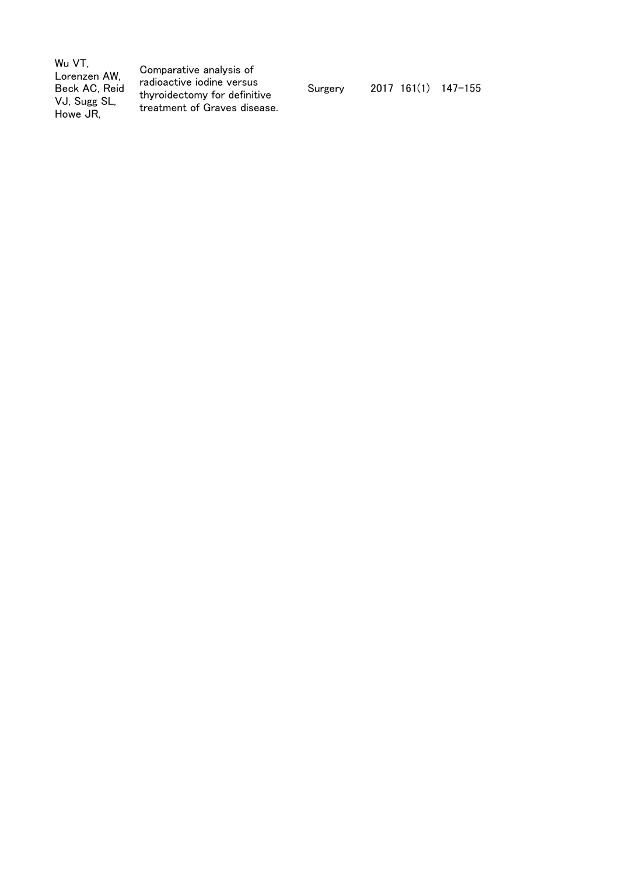| Wu VT.<br>Lorenzen AW,<br>Beck AC, Reid<br>VJ, Sugg SL,<br>Howe JR. | Comparative analysis of<br>radioactive iodine versus<br>thyroidectomy for definitive<br>treatment of Graves disease. | Surgery | $2017$ 161(1) 147-155 |  |
|---------------------------------------------------------------------|----------------------------------------------------------------------------------------------------------------------|---------|-----------------------|--|
|---------------------------------------------------------------------|----------------------------------------------------------------------------------------------------------------------|---------|-----------------------|--|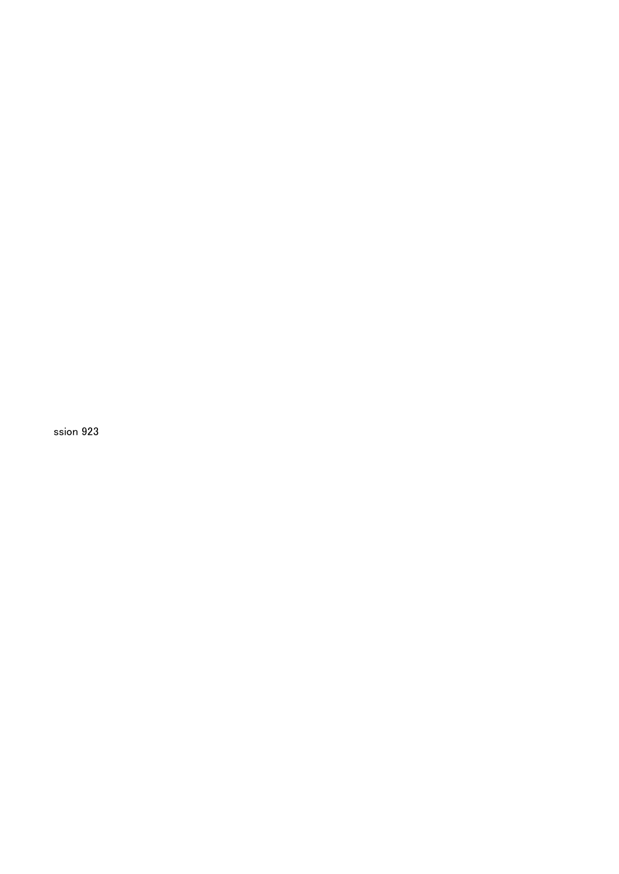ssion 923